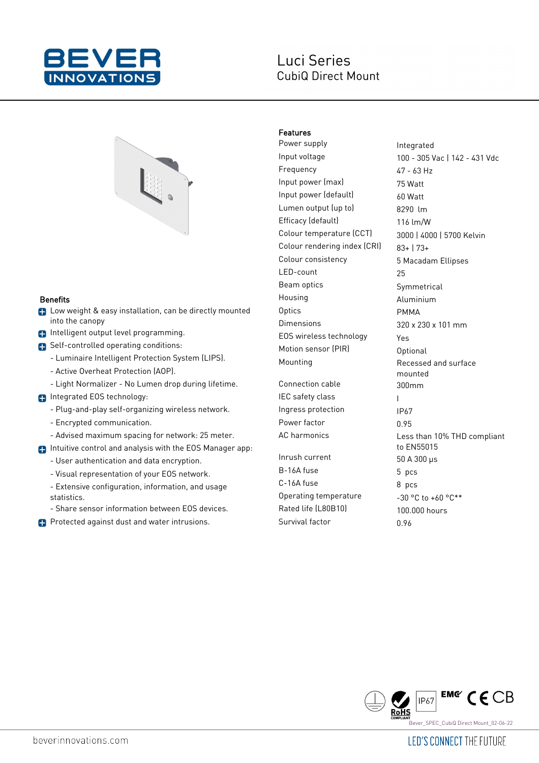

# Luci Series **CubiQ Direct Mount**



#### Benefits

- **C** Low weight & easy installation, can be directly mounted into the canopy
- **n** Intelligent output level programming.
- Self-controlled operating conditions:
	- Luminaire Intelligent Protection System (LIPS).
	- Active Overheat Protection (AOP).
	- Light Normalizer No Lumen drop during lifetime.
- **n** Integrated EOS technology:
	- Plug-and-play self-organizing wireless network.
	- Encrypted communication.
	- Advised maximum spacing for network: 25 meter.
- **n** Intuitive control and analysis with the EOS Manager app:
	- User authentication and data encryption.
	- Visual representation of your EOS network.
	- Extensive configuration, information, and usage statistics.
	- Share sensor information between EOS devices.
- **Protected against dust and water intrusions.**

### Features

Power supply **Integrated** Input voltage 100 - 305 Vac | 142 - 431 Vdc Frequency 47 - 63 Hz Input power (max) 75 Watt Input power (default) 60 Watt Lumen output (up to) 8290 lm Efficacy (default) 116 lm/W Colour temperature (CCT) 3000 | 4000 | 5700 Kelvin Colour rendering index  $[CR]$  83+ | 73+ Colour consistency 5 Macadam Ellipses LED-count 25 Beam optics Symmetrical Housing **Aluminium** Optics PMMA Dimensions 320 x 230 x 101 mm EOS wireless technology Yes Motion sensor (PIR) Optional Mounting **Recessed** and surface

Connection cable 300mm IEC safety class The Internal Control of The Internal Control of The Internal Control of The Internal Control o Ingress protection IP67 Power factor 0.95

 $Inrush current$  50 A 300  $\mu s$ B-16A fuse 5 pcs  $C-16A$  fuse 8 pcs Operating temperature  $-30 °C$  to  $+60 °C**$ Rated life (L80B10) 100.000 hours Survival factor 0.96

mounted AC harmonics Less than 10% THD compliant to EN55015